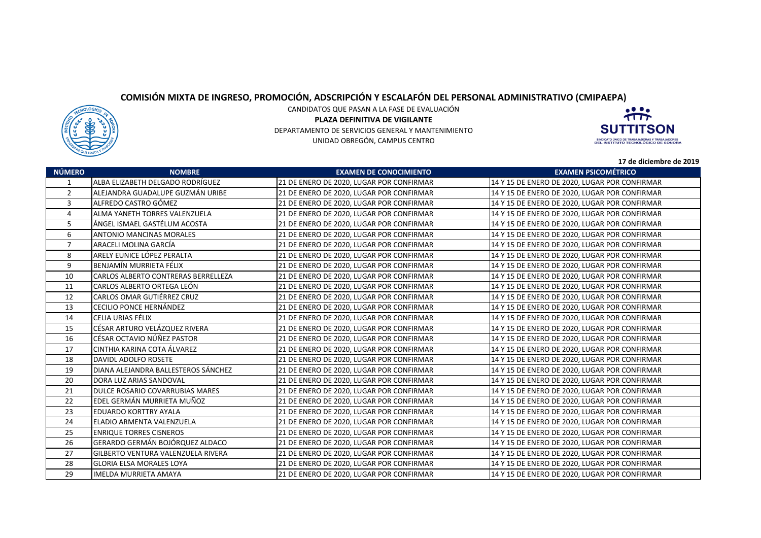## **COMISIÓN MIXTA DE INGRESO, PROMOCIÓN, ADSCRIPCIÓN Y ESCALAFÓN DEL PERSONAL ADMINISTRATIVO (CMIPAEPA)**



CANDIDATOS QUE PASAN A LA FASE DE EVALUACIÓN**PLAZA DEFINITIVA DE VIGILANTE** DEPARTAMENTO DE SERVICIOS GENERAL Y MANTENIMIENTOUNIDAD OBREGÓN, CAMPUS CENTRO



**17 de diciembre de 2019**

|                |                                     |                                          | 17 de diciembre de 2019                       |
|----------------|-------------------------------------|------------------------------------------|-----------------------------------------------|
| <b>NÚMERO</b>  | <b>NOMBRE</b>                       | <b>EXAMEN DE CONOCIMIENTO</b>            | <b>EXAMEN PSICOMÉTRICO</b>                    |
| 1              | ALBA ELIZABETH DELGADO RODRÍGUEZ    | 21 DE ENERO DE 2020, LUGAR POR CONFIRMAR | 14 Y 15 DE ENERO DE 2020, LUGAR POR CONFIRMAR |
| $\overline{2}$ | ALEJANDRA GUADALUPE GUZMÁN URIBE    | 21 DE ENERO DE 2020, LUGAR POR CONFIRMAR | 14 Y 15 DE ENERO DE 2020, LUGAR POR CONFIRMAR |
| 3              | ALFREDO CASTRO GÓMEZ                | 21 DE ENERO DE 2020, LUGAR POR CONFIRMAR | 14 Y 15 DE ENERO DE 2020, LUGAR POR CONFIRMAR |
| 4              | ALMA YANETH TORRES VALENZUELA       | 21 DE ENERO DE 2020, LUGAR POR CONFIRMAR | 14 Y 15 DE ENERO DE 2020, LUGAR POR CONFIRMAR |
| 5              | ÁNGEL ISMAEL GASTÉLUM ACOSTA        | 21 DE ENERO DE 2020, LUGAR POR CONFIRMAR | 14 Y 15 DE ENERO DE 2020, LUGAR POR CONFIRMAR |
| 6              | <b>ANTONIO MANCINAS MORALES</b>     | 21 DE ENERO DE 2020, LUGAR POR CONFIRMAR | 14 Y 15 DE ENERO DE 2020, LUGAR POR CONFIRMAR |
| $\overline{7}$ | ARACELI MOLINA GARCÍA               | 21 DE ENERO DE 2020, LUGAR POR CONFIRMAR | 14 Y 15 DE ENERO DE 2020, LUGAR POR CONFIRMAR |
| 8              | ARELY EUNICE LÓPEZ PERALTA          | 21 DE ENERO DE 2020, LUGAR POR CONFIRMAR | 14 Y 15 DE ENERO DE 2020, LUGAR POR CONFIRMAR |
| 9              | BENJAMÍN MURRIETA FÉLIX             | 21 DE ENERO DE 2020, LUGAR POR CONFIRMAR | 14 Y 15 DE ENERO DE 2020, LUGAR POR CONFIRMAR |
| 10             | CARLOS ALBERTO CONTRERAS BERRELLEZA | 21 DE ENERO DE 2020, LUGAR POR CONFIRMAR | 14 Y 15 DE ENERO DE 2020, LUGAR POR CONFIRMAR |
| 11             | CARLOS ALBERTO ORTEGA LEÓN          | 21 DE ENERO DE 2020, LUGAR POR CONFIRMAR | 14 Y 15 DE ENERO DE 2020, LUGAR POR CONFIRMAR |
| 12             | <b>CARLOS OMAR GUTIÉRREZ CRUZ</b>   | 21 DE ENERO DE 2020, LUGAR POR CONFIRMAR | 14 Y 15 DE ENERO DE 2020, LUGAR POR CONFIRMAR |
| 13             | CECILIO PONCE HERNÁNDEZ             | 21 DE ENERO DE 2020, LUGAR POR CONFIRMAR | 14 Y 15 DE ENERO DE 2020, LUGAR POR CONFIRMAR |
| 14             | CELIA URIAS FÉLIX                   | 21 DE ENERO DE 2020, LUGAR POR CONFIRMAR | 14 Y 15 DE ENERO DE 2020, LUGAR POR CONFIRMAR |
| 15             | CÉSAR ARTURO VELÁZQUEZ RIVERA       | 21 DE ENERO DE 2020, LUGAR POR CONFIRMAR | 14 Y 15 DE ENERO DE 2020, LUGAR POR CONFIRMAR |
| 16             | CÉSAR OCTAVIO NÚÑEZ PASTOR          | 21 DE ENERO DE 2020, LUGAR POR CONFIRMAR | 14 Y 15 DE ENERO DE 2020, LUGAR POR CONFIRMAR |
| 17             | CINTHIA KARINA COTA ÁLVAREZ         | 21 DE ENERO DE 2020, LUGAR POR CONFIRMAR | 14 Y 15 DE ENERO DE 2020, LUGAR POR CONFIRMAR |
| 18             | DAVIDL ADOLFO ROSETE                | 21 DE ENERO DE 2020, LUGAR POR CONFIRMAR | 14 Y 15 DE ENERO DE 2020, LUGAR POR CONFIRMAR |
| 19             | DIANA ALEJANDRA BALLESTEROS SÁNCHEZ | 21 DE ENERO DE 2020, LUGAR POR CONFIRMAR | 14 Y 15 DE ENERO DE 2020, LUGAR POR CONFIRMAR |
| 20             | DORA LUZ ARIAS SANDOVAL             | 21 DE ENERO DE 2020, LUGAR POR CONFIRMAR | 14 Y 15 DE ENERO DE 2020, LUGAR POR CONFIRMAR |
| 21             | DULCE ROSARIO COVARRUBIAS MARES     | 21 DE ENERO DE 2020, LUGAR POR CONFIRMAR | 14 Y 15 DE ENERO DE 2020, LUGAR POR CONFIRMAR |
| 22             | EDEL GERMÁN MURRIETA MUÑOZ          | 21 DE ENERO DE 2020, LUGAR POR CONFIRMAR | 14 Y 15 DE ENERO DE 2020, LUGAR POR CONFIRMAR |
| 23             | <b>EDUARDO KORTTRY AYALA</b>        | 21 DE ENERO DE 2020, LUGAR POR CONFIRMAR | 14 Y 15 DE ENERO DE 2020, LUGAR POR CONFIRMAR |
| 24             | ELADIO ARMENTA VALENZUELA           | 21 DE ENERO DE 2020, LUGAR POR CONFIRMAR | 14 Y 15 DE ENERO DE 2020, LUGAR POR CONFIRMAR |
| 25             | <b>ENRIQUE TORRES CISNEROS</b>      | 21 DE ENERO DE 2020, LUGAR POR CONFIRMAR | 14 Y 15 DE ENERO DE 2020, LUGAR POR CONFIRMAR |
| 26             | GERARDO GERMÁN BOJÓRQUEZ ALDACO     | 21 DE ENERO DE 2020, LUGAR POR CONFIRMAR | 14 Y 15 DE ENERO DE 2020, LUGAR POR CONFIRMAR |
| 27             | GILBERTO VENTURA VALENZUELA RIVERA  | 21 DE ENERO DE 2020, LUGAR POR CONFIRMAR | 14 Y 15 DE ENERO DE 2020, LUGAR POR CONFIRMAR |
| 28             | <b>GLORIA ELSA MORALES LOYA</b>     | 21 DE ENERO DE 2020, LUGAR POR CONFIRMAR | 14 Y 15 DE ENERO DE 2020, LUGAR POR CONFIRMAR |
| 29             | <b>IMELDA MURRIETA AMAYA</b>        | 21 DE ENERO DE 2020, LUGAR POR CONFIRMAR | 14 Y 15 DE ENERO DE 2020, LUGAR POR CONFIRMAR |
|                |                                     |                                          |                                               |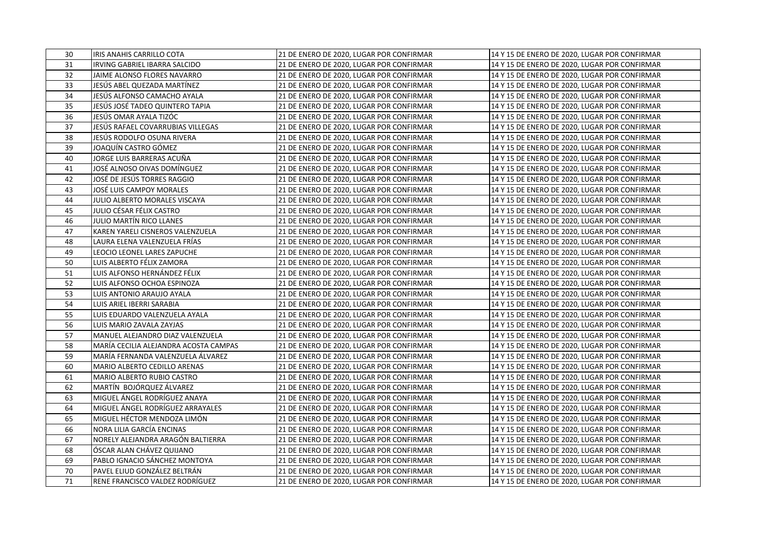| 30 | <b>IRIS ANAHIS CARRILLO COTA</b>      | 21 DE ENERO DE 2020, LUGAR POR CONFIRMAR | 14 Y 15 DE ENERO DE 2020, LUGAR POR CONFIRMAR |
|----|---------------------------------------|------------------------------------------|-----------------------------------------------|
| 31 | <b>IRVING GABRIEL IBARRA SALCIDO</b>  | 21 DE ENERO DE 2020, LUGAR POR CONFIRMAR | 14 Y 15 DE ENERO DE 2020, LUGAR POR CONFIRMAR |
| 32 | JAIME ALONSO FLORES NAVARRO           | 21 DE ENERO DE 2020, LUGAR POR CONFIRMAR | 14 Y 15 DE ENERO DE 2020, LUGAR POR CONFIRMAR |
| 33 | JESÚS ABEL QUEZADA MARTÍNEZ           | 21 DE ENERO DE 2020, LUGAR POR CONFIRMAR | 14 Y 15 DE ENERO DE 2020, LUGAR POR CONFIRMAR |
| 34 | JESÚS ALFONSO CAMACHO AYALA           | 21 DE ENERO DE 2020, LUGAR POR CONFIRMAR | 14 Y 15 DE ENERO DE 2020, LUGAR POR CONFIRMAR |
| 35 | JESÚS JOSÉ TADEO QUINTERO TAPIA       | 21 DE ENERO DE 2020, LUGAR POR CONFIRMAR | 14 Y 15 DE ENERO DE 2020, LUGAR POR CONFIRMAR |
| 36 | JESÚS OMAR AYALA TIZÓC                | 21 DE ENERO DE 2020, LUGAR POR CONFIRMAR | 14 Y 15 DE ENERO DE 2020, LUGAR POR CONFIRMAR |
| 37 | JESÚS RAFAEL COVARRUBIAS VILLEGAS     | 21 DE ENERO DE 2020, LUGAR POR CONFIRMAR | 14 Y 15 DE ENERO DE 2020, LUGAR POR CONFIRMAR |
| 38 | JESÚS RODOLFO OSUNA RIVERA            | 21 DE ENERO DE 2020, LUGAR POR CONFIRMAR | 14 Y 15 DE ENERO DE 2020, LUGAR POR CONFIRMAR |
| 39 | JOAQUÍN CASTRO GÓMEZ                  | 21 DE ENERO DE 2020, LUGAR POR CONFIRMAR | 14 Y 15 DE ENERO DE 2020, LUGAR POR CONFIRMAR |
| 40 | JORGE LUIS BARRERAS ACUÑA             | 21 DE ENERO DE 2020, LUGAR POR CONFIRMAR | 14 Y 15 DE ENERO DE 2020, LUGAR POR CONFIRMAR |
| 41 | JOSÉ ALNOSO OIVAS DOMÍNGUEZ           | 21 DE ENERO DE 2020, LUGAR POR CONFIRMAR | 14 Y 15 DE ENERO DE 2020, LUGAR POR CONFIRMAR |
| 42 | JOSÉ DE JESÚS TORRES RAGGIO           | 21 DE ENERO DE 2020, LUGAR POR CONFIRMAR | 14 Y 15 DE ENERO DE 2020, LUGAR POR CONFIRMAR |
| 43 | JOSÉ LUIS CAMPOY MORALES              | 21 DE ENERO DE 2020, LUGAR POR CONFIRMAR | 14 Y 15 DE ENERO DE 2020, LUGAR POR CONFIRMAR |
| 44 | JULIO ALBERTO MORALES VISCAYA         | 21 DE ENERO DE 2020, LUGAR POR CONFIRMAR | 14 Y 15 DE ENERO DE 2020, LUGAR POR CONFIRMAR |
| 45 | JULIO CÉSAR FÉLIX CASTRO              | 21 DE ENERO DE 2020, LUGAR POR CONFIRMAR | 14 Y 15 DE ENERO DE 2020, LUGAR POR CONFIRMAR |
| 46 | JULIO MARTÍN RICO LLANES              | 21 DE ENERO DE 2020, LUGAR POR CONFIRMAR | 14 Y 15 DE ENERO DE 2020, LUGAR POR CONFIRMAR |
| 47 | KAREN YARELI CISNEROS VALENZUELA      | 21 DE ENERO DE 2020, LUGAR POR CONFIRMAR | 14 Y 15 DE ENERO DE 2020, LUGAR POR CONFIRMAR |
| 48 | LAURA ELENA VALENZUELA FRÍAS          | 21 DE ENERO DE 2020, LUGAR POR CONFIRMAR | 14 Y 15 DE ENERO DE 2020, LUGAR POR CONFIRMAR |
| 49 | LEOCIO LEONEL LARES ZAPUCHE           | 21 DE ENERO DE 2020, LUGAR POR CONFIRMAR | 14 Y 15 DE ENERO DE 2020, LUGAR POR CONFIRMAR |
| 50 | LUIS ALBERTO FÉLIX ZAMORA             | 21 DE ENERO DE 2020, LUGAR POR CONFIRMAR | 14 Y 15 DE ENERO DE 2020, LUGAR POR CONFIRMAR |
| 51 | LUIS ALFONSO HERNÁNDEZ FÉLIX          | 21 DE ENERO DE 2020, LUGAR POR CONFIRMAR | 14 Y 15 DE ENERO DE 2020, LUGAR POR CONFIRMAR |
| 52 | LUIS ALFONSO OCHOA ESPINOZA           | 21 DE ENERO DE 2020, LUGAR POR CONFIRMAR | 14 Y 15 DE ENERO DE 2020, LUGAR POR CONFIRMAR |
| 53 | LUIS ANTONIO ARAUJO AYALA             | 21 DE ENERO DE 2020, LUGAR POR CONFIRMAR | 14 Y 15 DE ENERO DE 2020, LUGAR POR CONFIRMAR |
| 54 | LUIS ARIEL IBERRI SARABIA             | 21 DE ENERO DE 2020, LUGAR POR CONFIRMAR | 14 Y 15 DE ENERO DE 2020, LUGAR POR CONFIRMAR |
| 55 | LUIS EDUARDO VALENZUELA AYALA         | 21 DE ENERO DE 2020, LUGAR POR CONFIRMAR | 14 Y 15 DE ENERO DE 2020, LUGAR POR CONFIRMAR |
| 56 | LUIS MARIO ZAVALA ZAYJAS              | 21 DE ENERO DE 2020, LUGAR POR CONFIRMAR | 14 Y 15 DE ENERO DE 2020, LUGAR POR CONFIRMAR |
| 57 | MANUEL ALEJANDRO DIAZ VALENZUELA      | 21 DE ENERO DE 2020, LUGAR POR CONFIRMAR | 14 Y 15 DE ENERO DE 2020, LUGAR POR CONFIRMAR |
| 58 | MARÍA CECILIA ALEJANDRA ACOSTA CAMPAS | 21 DE ENERO DE 2020, LUGAR POR CONFIRMAR | 14 Y 15 DE ENERO DE 2020, LUGAR POR CONFIRMAR |
| 59 | MARÍA FERNANDA VALENZUELA ÁLVAREZ     | 21 DE ENERO DE 2020, LUGAR POR CONFIRMAR | 14 Y 15 DE ENERO DE 2020, LUGAR POR CONFIRMAR |
| 60 | MARIO ALBERTO CEDILLO ARENAS          | 21 DE ENERO DE 2020, LUGAR POR CONFIRMAR | 14 Y 15 DE ENERO DE 2020, LUGAR POR CONFIRMAR |
| 61 | MARIO ALBERTO RUBIO CASTRO            | 21 DE ENERO DE 2020, LUGAR POR CONFIRMAR | 14 Y 15 DE ENERO DE 2020, LUGAR POR CONFIRMAR |
| 62 | MARTÍN BOJÓRQUEZ ÁLVAREZ              | 21 DE ENERO DE 2020, LUGAR POR CONFIRMAR | 14 Y 15 DE ENERO DE 2020, LUGAR POR CONFIRMAR |
| 63 | MIGUEL ÁNGEL RODRÍGUEZ ANAYA          | 21 DE ENERO DE 2020, LUGAR POR CONFIRMAR | 14 Y 15 DE ENERO DE 2020, LUGAR POR CONFIRMAR |
| 64 | MIGUEL ÁNGEL RODRÍGUEZ ARRAYALES      | 21 DE ENERO DE 2020, LUGAR POR CONFIRMAR | 14 Y 15 DE ENERO DE 2020, LUGAR POR CONFIRMAR |
| 65 | MIGUEL HÉCTOR MENDOZA LIMÓN           | 21 DE ENERO DE 2020, LUGAR POR CONFIRMAR | 14 Y 15 DE ENERO DE 2020, LUGAR POR CONFIRMAR |
| 66 | NORA LILIA GARCÍA ENCINAS             | 21 DE ENERO DE 2020, LUGAR POR CONFIRMAR | 14 Y 15 DE ENERO DE 2020, LUGAR POR CONFIRMAR |
| 67 | NORELY ALEJANDRA ARAGÓN BALTIERRA     | 21 DE ENERO DE 2020, LUGAR POR CONFIRMAR | 14 Y 15 DE ENERO DE 2020, LUGAR POR CONFIRMAR |
| 68 | ÓSCAR ALAN CHÁVEZ QUIJANO             | 21 DE ENERO DE 2020, LUGAR POR CONFIRMAR | 14 Y 15 DE ENERO DE 2020, LUGAR POR CONFIRMAR |
| 69 | PABLO IGNACIO SÁNCHEZ MONTOYA         | 21 DE ENERO DE 2020, LUGAR POR CONFIRMAR | 14 Y 15 DE ENERO DE 2020, LUGAR POR CONFIRMAR |
| 70 | PAVEL ELIUD GONZÁLEZ BELTRÁN          | 21 DE ENERO DE 2020, LUGAR POR CONFIRMAR | 14 Y 15 DE ENERO DE 2020, LUGAR POR CONFIRMAR |
| 71 | RENE FRANCISCO VALDEZ RODRÍGUEZ       | 21 DE ENERO DE 2020, LUGAR POR CONFIRMAR | 14 Y 15 DE ENERO DE 2020, LUGAR POR CONFIRMAR |